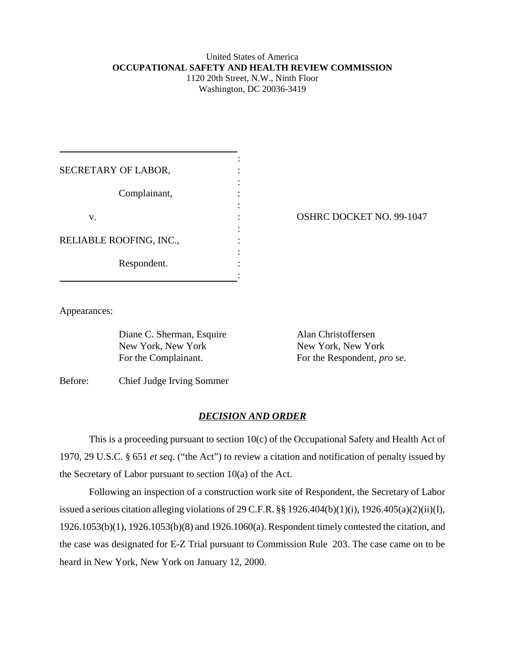## United States of America **OCCUPATIONAL SAFETY AND HEALTH REVIEW COMMISSION** 1120 20th Street, N.W., Ninth Floor

Washington, DC 20036-3419

| SECRETARY OF LABOR,     |  |
|-------------------------|--|
|                         |  |
| Complainant,            |  |
|                         |  |
| V.                      |  |
|                         |  |
| RELIABLE ROOFING, INC., |  |
|                         |  |
| Respondent.             |  |
|                         |  |

OSHRC DOCKET NO. 99-1047

Appearances:

Diane C. Sherman, Esquire Alan Christoffersen New York, New York New York, New York

For the Complainant. For the Respondent, *pro se*.

Before: Chief Judge Irving Sommer

## *DECISION AND ORDER*

This is a proceeding pursuant to section 10(c) of the Occupational Safety and Health Act of 1970, 29 U.S.C. § 651 *et seq*. ("the Act") to review a citation and notification of penalty issued by the Secretary of Labor pursuant to section 10(a) of the Act.

Following an inspection of a construction work site of Respondent, the Secretary of Labor issued a serious citation alleging violations of 29 C.F.R. §§ 1926.404(b)(1)(i), 1926.405(a)(2)(ii)(I), 1926.1053(b)(1), 1926.1053(b)(8) and 1926.1060(a). Respondent timely contested the citation, and the case was designated for E-Z Trial pursuant to Commission Rule 203. The case came on to be heard in New York, New York on January 12, 2000.